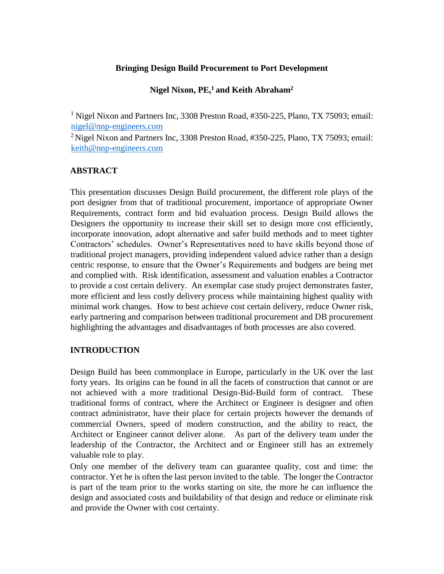### **Bringing Design Build Procurement to Port Development**

**Nigel Nixon, PE, <sup>1</sup>and Keith Abraham<sup>2</sup>**

<sup>1</sup> Nigel Nixon and Partners Inc, 3308 Preston Road, #350-225, Plano, TX 75093; email: [nigel@nnp-engineers.com](mailto:nigel@nnp-engineers.com)

<sup>2</sup> Nigel Nixon and Partners Inc, 3308 Preston Road, #350-225, Plano, TX 75093; email: [keith@nnp-engineers.com](mailto:keith@nnp-engineers.com)

### **ABSTRACT**

This presentation discusses Design Build procurement, the different role plays of the port designer from that of traditional procurement, importance of appropriate Owner Requirements, contract form and bid evaluation process. Design Build allows the Designers the opportunity to increase their skill set to design more cost efficiently, incorporate innovation, adopt alternative and safer build methods and to meet tighter Contractors' schedules. Owner's Representatives need to have skills beyond those of traditional project managers, providing independent valued advice rather than a design centric response, to ensure that the Owner's Requirements and budgets are being met and complied with. Risk identification, assessment and valuation enables a Contractor to provide a cost certain delivery. An exemplar case study project demonstrates faster, more efficient and less costly delivery process while maintaining highest quality with minimal work changes. How to best achieve cost certain delivery, reduce Owner risk, early partnering and comparison between traditional procurement and DB procurement highlighting the advantages and disadvantages of both processes are also covered.

## **INTRODUCTION**

Design Build has been commonplace in Europe, particularly in the UK over the last forty years. Its origins can be found in all the facets of construction that cannot or are not achieved with a more traditional Design-Bid-Build form of contract. These traditional forms of contract, where the Architect or Engineer is designer and often contract administrator, have their place for certain projects however the demands of commercial Owners, speed of modern construction, and the ability to react, the Architect or Engineer cannot deliver alone. As part of the delivery team under the leadership of the Contractor, the Architect and or Engineer still has an extremely valuable role to play.

Only one member of the delivery team can guarantee quality, cost and time: the contractor. Yet he is often the last person invited to the table. The longer the Contractor is part of the team prior to the works starting on site, the more he can influence the design and associated costs and buildability of that design and reduce or eliminate risk and provide the Owner with cost certainty.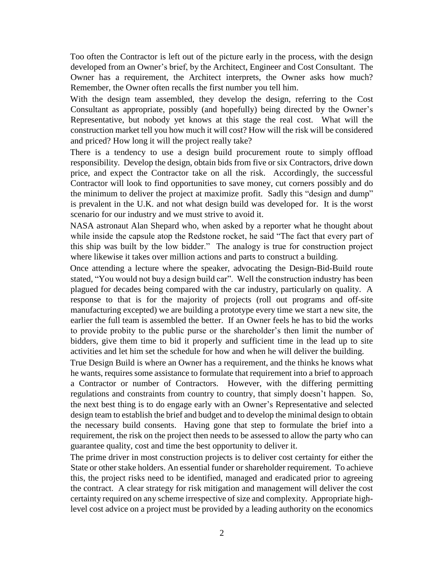Too often the Contractor is left out of the picture early in the process, with the design developed from an Owner's brief, by the Architect, Engineer and Cost Consultant. The Owner has a requirement, the Architect interprets, the Owner asks how much? Remember, the Owner often recalls the first number you tell him.

With the design team assembled, they develop the design, referring to the Cost Consultant as appropriate, possibly (and hopefully) being directed by the Owner's Representative, but nobody yet knows at this stage the real cost. What will the construction market tell you how much it will cost? How will the risk will be considered and priced? How long it will the project really take?

There is a tendency to use a design build procurement route to simply offload responsibility. Develop the design, obtain bids from five or six Contractors, drive down price, and expect the Contractor take on all the risk. Accordingly, the successful Contractor will look to find opportunities to save money, cut corners possibly and do the minimum to deliver the project at maximize profit. Sadly this "design and dump" is prevalent in the U.K. and not what design build was developed for. It is the worst scenario for our industry and we must strive to avoid it.

NASA astronaut Alan Shepard who, when asked by a reporter what he thought about while inside the capsule atop the Redstone rocket, he said "The fact that every part of this ship was built by the low bidder." The analogy is true for construction project where likewise it takes over million actions and parts to construct a building.

Once attending a lecture where the speaker, advocating the Design-Bid-Build route stated, "You would not buy a design build car". Well the construction industry has been plagued for decades being compared with the car industry, particularly on quality. A response to that is for the majority of projects (roll out programs and off-site manufacturing excepted) we are building a prototype every time we start a new site, the earlier the full team is assembled the better. If an Owner feels he has to bid the works to provide probity to the public purse or the shareholder's then limit the number of bidders, give them time to bid it properly and sufficient time in the lead up to site activities and let him set the schedule for how and when he will deliver the building.

True Design Build is where an Owner has a requirement, and the thinks he knows what he wants, requires some assistance to formulate that requirement into a brief to approach a Contractor or number of Contractors. However, with the differing permitting regulations and constraints from country to country, that simply doesn't happen. So, the next best thing is to do engage early with an Owner's Representative and selected design team to establish the brief and budget and to develop the minimal design to obtain the necessary build consents. Having gone that step to formulate the brief into a requirement, the risk on the project then needs to be assessed to allow the party who can guarantee quality, cost and time the best opportunity to deliver it.

The prime driver in most construction projects is to deliver cost certainty for either the State or other stake holders. An essential funder or shareholder requirement. To achieve this, the project risks need to be identified, managed and eradicated prior to agreeing the contract. A clear strategy for risk mitigation and management will deliver the cost certainty required on any scheme irrespective of size and complexity. Appropriate highlevel cost advice on a project must be provided by a leading authority on the economics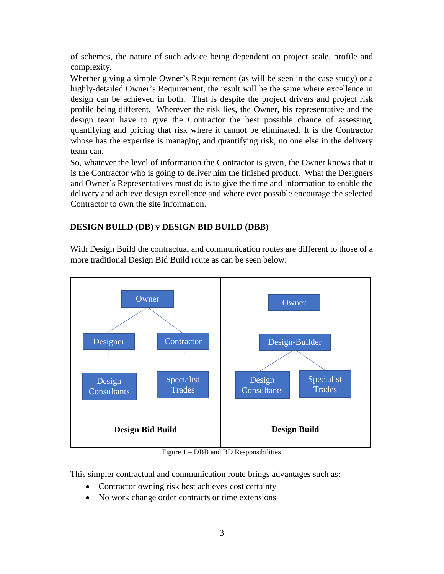of schemes, the nature of such advice being dependent on project scale, profile and complexity.

Whether giving a simple Owner's Requirement (as will be seen in the case study) or a highly-detailed Owner's Requirement, the result will be the same where excellence in design can be achieved in both. That is despite the project drivers and project risk profile being different. Wherever the risk lies, the Owner, his representative and the design team have to give the Contractor the best possible chance of assessing, quantifying and pricing that risk where it cannot be eliminated. It is the Contractor whose has the expertise is managing and quantifying risk, no one else in the delivery team can.

So, whatever the level of information the Contractor is given, the Owner knows that it is the Contractor who is going to deliver him the finished product. What the Designers and Owner's Representatives must do is to give the time and information to enable the delivery and achieve design excellence and where ever possible encourage the selected Contractor to own the site information.

# **DESIGN BUILD (DB) v DESIGN BID BUILD (DBB)**

With Design Build the contractual and communication routes are different to those of a more traditional Design Bid Build route as can be seen below:



Figure 1 – DBB and BD Responsibilities

This simpler contractual and communication route brings advantages such as:

- Contractor owning risk best achieves cost certainty
- No work change order contracts or time extensions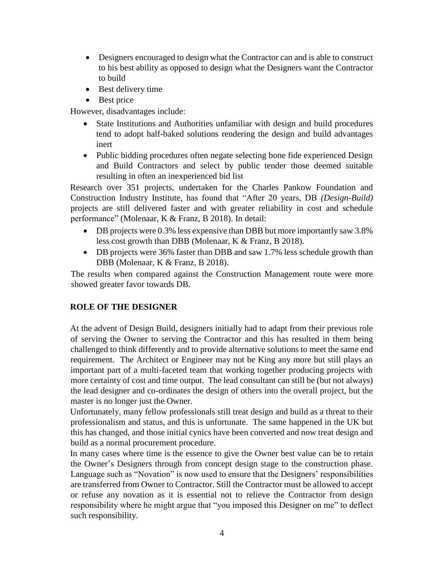- Designers encouraged to design what the Contractor can and is able to construct to his best ability as opposed to design what the Designers want the Contractor to build
- Best delivery time
- Best price

However, disadvantages include:

- State Institutions and Authorities unfamiliar with design and build procedures tend to adopt half-baked solutions rendering the design and build advantages inert
- Public bidding procedures often negate selecting bone fide experienced Design and Build Contractors and select by public tender those deemed suitable resulting in often an inexperienced bid list

Research over 351 projects, undertaken for the Charles Pankow Foundation and Construction Industry Institute, has found that "After 20 years, DB *(Design-Build)* projects are still delivered faster and with greater reliability in cost and schedule performance" (Molenaar, K & Franz, B 2018). In detail:

- DB projects were 0.3% less expensive than DBB but more importantly saw 3.8% less cost growth than DBB (Molenaar, K & Franz, B 2018).
- DB projects were 36% faster than DBB and saw 1.7% less schedule growth than DBB (Molenaar, K & Franz, B 2018).

The results when compared against the Construction Management route were more showed greater favor towards DB.

## **ROLE OF THE DESIGNER**

At the advent of Design Build, designers initially had to adapt from their previous role of serving the Owner to serving the Contractor and this has resulted in them being challenged to think differently and to provide alternative solutions to meet the same end requirement. The Architect or Engineer may not be King any more but still plays an important part of a multi-faceted team that working together producing projects with more certainty of cost and time output. The lead consultant can still be (but not always) the lead designer and co-ordinates the design of others into the overall project, but the master is no longer just the Owner.

Unfortunately, many fellow professionals still treat design and build as a threat to their professionalism and status, and this is unfortunate. The same happened in the UK but this has changed, and those initial cynics have been converted and now treat design and build as a normal procurement procedure.

In many cases where time is the essence to give the Owner best value can be to retain the Owner's Designers through from concept design stage to the construction phase. Language such as "Novation" is now used to ensure that the Designers' responsibilities are transferred from Owner to Contractor. Still the Contractor must be allowed to accept or refuse any novation as it is essential not to relieve the Contractor from design responsibility where he might argue that "you imposed this Designer on me" to deflect such responsibility.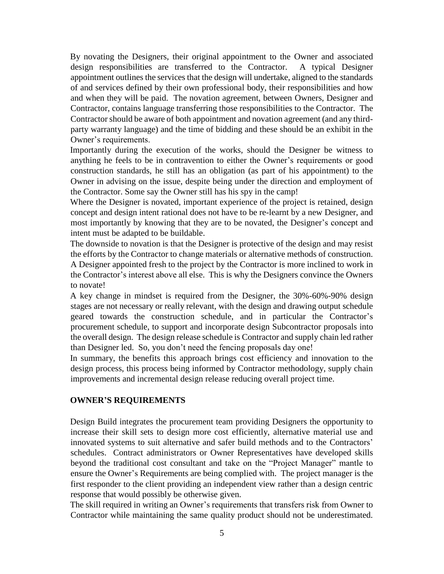By novating the Designers, their original appointment to the Owner and associated design responsibilities are transferred to the Contractor. A typical Designer appointment outlines the services that the design will undertake, aligned to the standards of and services defined by their own professional body, their responsibilities and how and when they will be paid. The novation agreement, between Owners, Designer and Contractor, contains language transferring those responsibilities to the Contractor. The Contractor should be aware of both appointment and novation agreement (and any thirdparty warranty language) and the time of bidding and these should be an exhibit in the Owner's requirements.

Importantly during the execution of the works, should the Designer be witness to anything he feels to be in contravention to either the Owner's requirements or good construction standards, he still has an obligation (as part of his appointment) to the Owner in advising on the issue, despite being under the direction and employment of the Contractor. Some say the Owner still has his spy in the camp!

Where the Designer is novated, important experience of the project is retained, design concept and design intent rational does not have to be re-learnt by a new Designer, and most importantly by knowing that they are to be novated, the Designer's concept and intent must be adapted to be buildable.

The downside to novation is that the Designer is protective of the design and may resist the efforts by the Contractor to change materials or alternative methods of construction. A Designer appointed fresh to the project by the Contractor is more inclined to work in the Contractor's interest above all else. This is why the Designers convince the Owners to novate!

A key change in mindset is required from the Designer, the 30%-60%-90% design stages are not necessary or really relevant, with the design and drawing output schedule geared towards the construction schedule, and in particular the Contractor's procurement schedule, to support and incorporate design Subcontractor proposals into the overall design. The design release schedule is Contractor and supply chain led rather than Designer led. So, you don't need the fencing proposals day one!

In summary, the benefits this approach brings cost efficiency and innovation to the design process, this process being informed by Contractor methodology, supply chain improvements and incremental design release reducing overall project time.

#### **OWNER'S REQUIREMENTS**

Design Build integrates the procurement team providing Designers the opportunity to increase their skill sets to design more cost efficiently, alternative material use and innovated systems to suit alternative and safer build methods and to the Contractors' schedules. Contract administrators or Owner Representatives have developed skills beyond the traditional cost consultant and take on the "Project Manager" mantle to ensure the Owner's Requirements are being complied with. The project manager is the first responder to the client providing an independent view rather than a design centric response that would possibly be otherwise given.

The skill required in writing an Owner's requirements that transfers risk from Owner to Contractor while maintaining the same quality product should not be underestimated.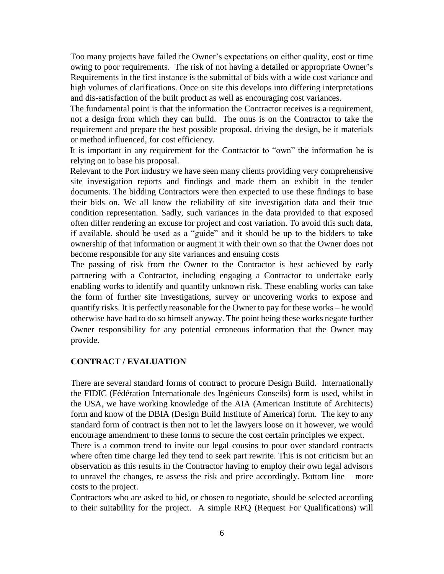Too many projects have failed the Owner's expectations on either quality, cost or time owing to poor requirements. The risk of not having a detailed or appropriate Owner's Requirements in the first instance is the submittal of bids with a wide cost variance and high volumes of clarifications. Once on site this develops into differing interpretations and dis-satisfaction of the built product as well as encouraging cost variances.

The fundamental point is that the information the Contractor receives is a requirement, not a design from which they can build. The onus is on the Contractor to take the requirement and prepare the best possible proposal, driving the design, be it materials or method influenced, for cost efficiency.

It is important in any requirement for the Contractor to "own" the information he is relying on to base his proposal.

Relevant to the Port industry we have seen many clients providing very comprehensive site investigation reports and findings and made them an exhibit in the tender documents. The bidding Contractors were then expected to use these findings to base their bids on. We all know the reliability of site investigation data and their true condition representation. Sadly, such variances in the data provided to that exposed often differ rendering an excuse for project and cost variation. To avoid this such data, if available, should be used as a "guide" and it should be up to the bidders to take ownership of that information or augment it with their own so that the Owner does not become responsible for any site variances and ensuing costs

The passing of risk from the Owner to the Contractor is best achieved by early partnering with a Contractor, including engaging a Contractor to undertake early enabling works to identify and quantify unknown risk. These enabling works can take the form of further site investigations, survey or uncovering works to expose and quantify risks. It is perfectly reasonable for the Owner to pay for these works – he would otherwise have had to do so himself anyway. The point being these works negate further Owner responsibility for any potential erroneous information that the Owner may provide.

#### **CONTRACT / EVALUATION**

There are several standard forms of contract to procure Design Build. Internationally the FIDIC (Fédération Internationale des Ingénieurs Conseils) form is used, whilst in the USA, we have working knowledge of the AIA (American Institute of Architects) form and know of the DBIA (Design Build Institute of America) form. The key to any standard form of contract is then not to let the lawyers loose on it however, we would encourage amendment to these forms to secure the cost certain principles we expect.

There is a common trend to invite our legal cousins to pour over standard contracts where often time charge led they tend to seek part rewrite. This is not criticism but an observation as this results in the Contractor having to employ their own legal advisors to unravel the changes, re assess the risk and price accordingly. Bottom line – more costs to the project.

Contractors who are asked to bid, or chosen to negotiate, should be selected according to their suitability for the project. A simple RFQ (Request For Qualifications) will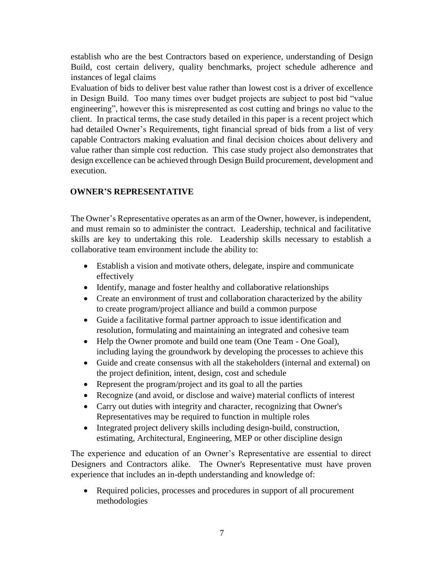establish who are the best Contractors based on experience, understanding of Design Build, cost certain delivery, quality benchmarks, project schedule adherence and instances of legal claims

Evaluation of bids to deliver best value rather than lowest cost is a driver of excellence in Design Build. Too many times over budget projects are subject to post bid "value engineering", however this is misrepresented as cost cutting and brings no value to the client. In practical terms, the case study detailed in this paper is a recent project which had detailed Owner's Requirements, tight financial spread of bids from a list of very capable Contractors making evaluation and final decision choices about delivery and value rather than simple cost reduction. This case study project also demonstrates that design excellence can be achieved through Design Build procurement, development and execution.

# **OWNER'S REPRESENTATIVE**

The Owner's Representative operates as an arm of the Owner, however, is independent, and must remain so to administer the contract. Leadership, technical and facilitative skills are key to undertaking this role. Leadership skills necessary to establish a collaborative team environment include the ability to:

- Establish a vision and motivate others, delegate, inspire and communicate effectively
- Identify, manage and foster healthy and collaborative relationships
- Create an environment of trust and collaboration characterized by the ability to create program/project alliance and build a common purpose
- Guide a facilitative formal partner approach to issue identification and resolution, formulating and maintaining an integrated and cohesive team
- Help the Owner promote and build one team (One Team One Goal), including laying the groundwork by developing the processes to achieve this
- Guide and create consensus with all the stakeholders (internal and external) on the project definition, intent, design, cost and schedule
- Represent the program/project and its goal to all the parties
- Recognize (and avoid, or disclose and waive) material conflicts of interest
- Carry out duties with integrity and character, recognizing that Owner's Representatives may be required to function in multiple roles
- Integrated project delivery skills including design-build, construction, estimating, Architectural, Engineering, MEP or other discipline design

The experience and education of an Owner's Representative are essential to direct Designers and Contractors alike. The Owner's Representative must have proven experience that includes an in-depth understanding and knowledge of:

• Required policies, processes and procedures in support of all procurement methodologies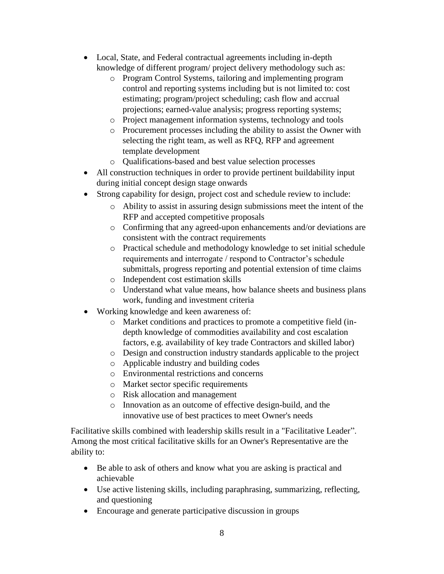- Local, State, and Federal contractual agreements including in-depth knowledge of different program/ project delivery methodology such as:
	- o Program Control Systems, tailoring and implementing program control and reporting systems including but is not limited to: cost estimating; program/project scheduling; cash flow and accrual projections; earned-value analysis; progress reporting systems;
	- o Project management information systems, technology and tools
	- o Procurement processes including the ability to assist the Owner with selecting the right team, as well as RFQ, RFP and agreement template development
	- o Qualifications-based and best value selection processes
- All construction techniques in order to provide pertinent buildability input during initial concept design stage onwards
- Strong capability for design, project cost and schedule review to include:
	- o Ability to assist in assuring design submissions meet the intent of the RFP and accepted competitive proposals
	- o Confirming that any agreed-upon enhancements and/or deviations are consistent with the contract requirements
	- o Practical schedule and methodology knowledge to set initial schedule requirements and interrogate / respond to Contractor's schedule submittals, progress reporting and potential extension of time claims
	- o Independent cost estimation skills
	- o Understand what value means, how balance sheets and business plans work, funding and investment criteria
- Working knowledge and keen awareness of:
	- o Market conditions and practices to promote a competitive field (indepth knowledge of commodities availability and cost escalation factors, e.g. availability of key trade Contractors and skilled labor)
	- o Design and construction industry standards applicable to the project
	- o Applicable industry and building codes
	- o Environmental restrictions and concerns
	- o Market sector specific requirements
	- o Risk allocation and management
	- o Innovation as an outcome of effective design-build, and the innovative use of best practices to meet Owner's needs

Facilitative skills combined with leadership skills result in a "Facilitative Leader". Among the most critical facilitative skills for an Owner's Representative are the ability to:

- Be able to ask of others and know what you are asking is practical and achievable
- Use active listening skills, including paraphrasing, summarizing, reflecting, and questioning
- Encourage and generate participative discussion in groups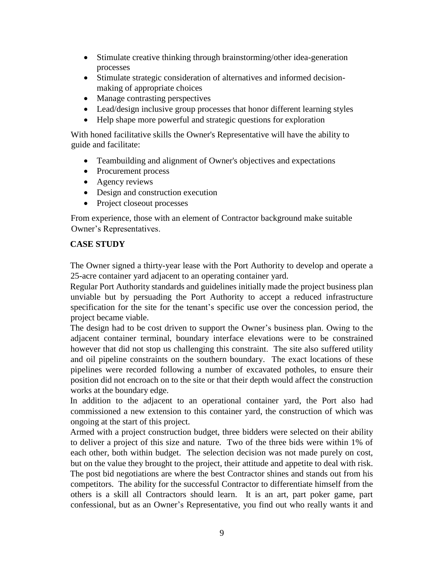- Stimulate creative thinking through brainstorming/other idea-generation processes
- Stimulate strategic consideration of alternatives and informed decisionmaking of appropriate choices
- Manage contrasting perspectives
- Lead/design inclusive group processes that honor different learning styles
- Help shape more powerful and strategic questions for exploration

With honed facilitative skills the Owner's Representative will have the ability to guide and facilitate:

- Teambuilding and alignment of Owner's objectives and expectations
- Procurement process
- Agency reviews
- Design and construction execution
- Project closeout processes

From experience, those with an element of Contractor background make suitable Owner's Representatives.

## **CASE STUDY**

The Owner signed a thirty-year lease with the Port Authority to develop and operate a 25-acre container yard adjacent to an operating container yard.

Regular Port Authority standards and guidelines initially made the project business plan unviable but by persuading the Port Authority to accept a reduced infrastructure specification for the site for the tenant's specific use over the concession period, the project became viable.

The design had to be cost driven to support the Owner's business plan. Owing to the adjacent container terminal, boundary interface elevations were to be constrained however that did not stop us challenging this constraint. The site also suffered utility and oil pipeline constraints on the southern boundary. The exact locations of these pipelines were recorded following a number of excavated potholes, to ensure their position did not encroach on to the site or that their depth would affect the construction works at the boundary edge.

In addition to the adjacent to an operational container yard, the Port also had commissioned a new extension to this container yard, the construction of which was ongoing at the start of this project.

Armed with a project construction budget, three bidders were selected on their ability to deliver a project of this size and nature. Two of the three bids were within 1% of each other, both within budget. The selection decision was not made purely on cost, but on the value they brought to the project, their attitude and appetite to deal with risk. The post bid negotiations are where the best Contractor shines and stands out from his competitors. The ability for the successful Contractor to differentiate himself from the others is a skill all Contractors should learn. It is an art, part poker game, part confessional, but as an Owner's Representative, you find out who really wants it and